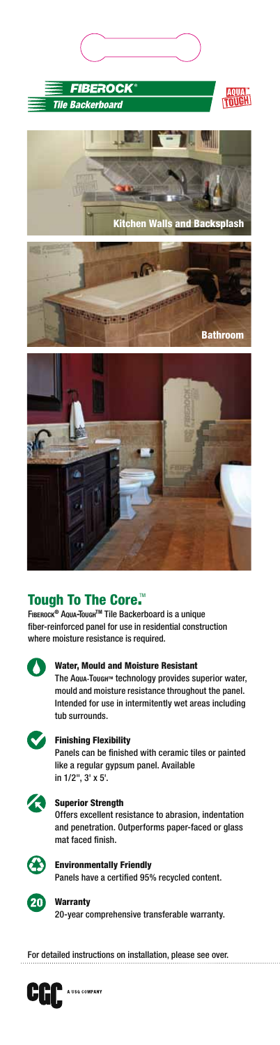







# Tough To The Core.<sup>™</sup>

F**iberock®** A**qua-**T**oughTM** Tile Backerboard is a unique fiber-reinforced panel for use in residential construction where moisture resistance is required.



## Water, Mould and Moisture Resistant

The A**QUA-**T**OUGHTM** technology provides superior water, mould and moisture resistance throughout the panel. Intended for use in intermitently wet areas including tub surrounds.



## **K** Finishing Flexibility

Panels can be finished with ceramic tiles or painted like a regular gypsum panel. Available in 1/2", 3' x 5'.



# Superior Strength

Offers excellent resistance to abrasion, indentation and penetration. Outperforms paper-faced or glass mat faced finish.



Environmentally Friendly Panels have a certified 95% recycled content.



## **20** Warranty

20-year comprehensive transferable warranty.

For detailed instructions on installation, please see over.